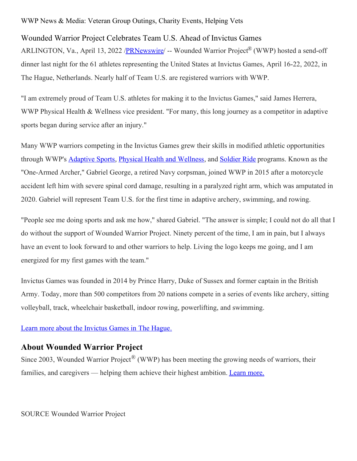## WWP News & Media: Veteran Group Outings, Charity Events, Helping Vets

## Wounded Warrior Project Celebrates Team U.S. Ahead of Invictus Games

ARLINGTON, Va., April 13, 2022 /**PRNewswire/** -- Wounded Warrior Project<sup>®</sup> (WWP) hosted a send-off dinner last night for the 61 athletes representing the United States at Invictus Games, April 16-22, 2022, in The Hague, Netherlands. Nearly half of Team U.S. are registered warriors with WWP.

"I am extremely proud of Team U.S. athletes for making it to the Invictus Games," said James Herrera, WWP Physical Health & Wellness vice president. "For many, this long journey as a competitor in adaptive sports began during service after an injury."

Many WWP warriors competing in the Invictus Games grew their skills in modified athletic opportunities through WWP's **[Adaptive](https://c212.net/c/link/?t=0&l=en&o=3503713-1&h=999981315&u=https%3A%2F%2Fwww.woundedwarriorproject.org%2Fprograms%2Fadaptive-sports&a=Adaptive+Sports) Sports, Physical Health and [Wellness](https://c212.net/c/link/?t=0&l=en&o=3503713-1&h=4059452109&u=https%3A%2F%2Fwww.woundedwarriorproject.org%2Fprograms%2Fphysical-health-wellness&a=Physical+Health+and+Wellness)**, and **[Soldier](https://c212.net/c/link/?t=0&l=en&o=3503713-1&h=265731021&u=https%3A%2F%2Fwww.woundedwarriorproject.org%2Fprograms%2Fsoldier-ride&a=Soldier+Ride) Ride** programs. Known as the "One-Armed Archer," Gabriel George, a retired Navy corpsman, joined WWP in 2015 after a motorcycle accident left him with severe spinal cord damage, resulting in a paralyzed right arm, which was amputated in 2020. Gabriel will represent Team U.S. for the first time in adaptive archery, swimming, and rowing.

"People see me doing sports and ask me how," shared Gabriel. "The answer is simple; I could not do all that I do without the support of Wounded Warrior Project. Ninety percent of the time, I am in pain, but I always have an event to look forward to and other warriors to help. Living the logo keeps me going, and I am energized for my first games with the team."

Invictus Games was founded in 2014 by Prince Harry, Duke of Sussex and former captain in the British Army. Today, more than 500 competitors from 20 nations compete in a series of events like archery, sitting volleyball, track, wheelchair basketball, indoor rowing, powerlifting, and swimming.

## Learn more about the [Invictus](https://c212.net/c/link/?t=0&l=en&o=3503713-1&h=3697754053&u=https%3A%2F%2Finvictusgamesfoundation.org%2Fgames%2Fthe-hague-2020%2F&a=Learn+more+about+the+Invictus+Games+in+The+Hague.) Games in The Hague.

## **About Wounded Warrior Project**

Since 2003, Wounded Warrior Project<sup>®</sup> (WWP) has been meeting the growing needs of warriors, their families, and caregivers — helping them achieve their highest ambition. [Learn](https://c212.net/c/link/?t=0&l=en&o=3503713-1&h=2977440141&u=https%3A%2F%2Fnewsroom.woundedwarriorproject.org%2F&a=Learn+more.) more.

SOURCE Wounded Warrior Project